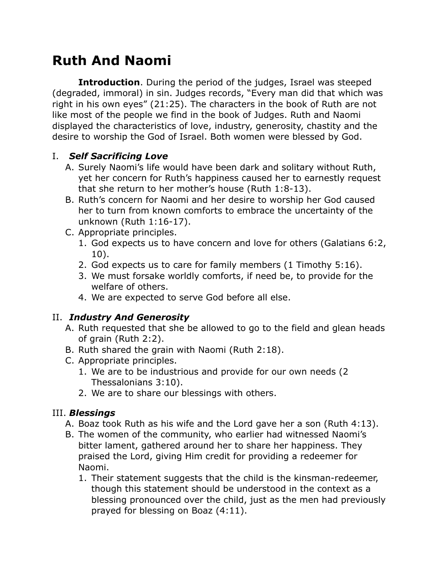# **Ruth And Naomi**

**Introduction**. During the period of the judges, Israel was steeped (degraded, immoral) in sin. Judges records, "Every man did that which was right in his own eyes" (21:25). The characters in the book of Ruth are not like most of the people we find in the book of Judges. Ruth and Naomi displayed the characteristics of love, industry, generosity, chastity and the desire to worship the God of Israel. Both women were blessed by God.

## I. *Self Sacrificing Love*

- A. Surely Naomi's life would have been dark and solitary without Ruth, yet her concern for Ruth's happiness caused her to earnestly request that she return to her mother's house (Ruth 1:8-13).
- B. Ruth's concern for Naomi and her desire to worship her God caused her to turn from known comforts to embrace the uncertainty of the unknown (Ruth 1:16-17).
- C. Appropriate principles.
	- 1. God expects us to have concern and love for others (Galatians 6:2, 10).
	- 2. God expects us to care for family members (1 Timothy 5:16).
	- 3. We must forsake worldly comforts, if need be, to provide for the welfare of others.
	- 4. We are expected to serve God before all else.

## II. *Industry And Generosity*

- A. Ruth requested that she be allowed to go to the field and glean heads of grain (Ruth 2:2).
- B. Ruth shared the grain with Naomi (Ruth 2:18).
- C. Appropriate principles.
	- 1. We are to be industrious and provide for our own needs (2 Thessalonians 3:10).
	- 2. We are to share our blessings with others.

## III. *Blessings*

- A. Boaz took Ruth as his wife and the Lord gave her a son (Ruth 4:13).
- B. The women of the community, who earlier had witnessed Naomi's bitter lament, gathered around her to share her happiness. They praised the Lord, giving Him credit for providing a redeemer for Naomi.
	- 1. Their statement suggests that the child is the kinsman-redeemer, though this statement should be understood in the context as a blessing pronounced over the child, just as the men had previously prayed for blessing on Boaz (4:11).